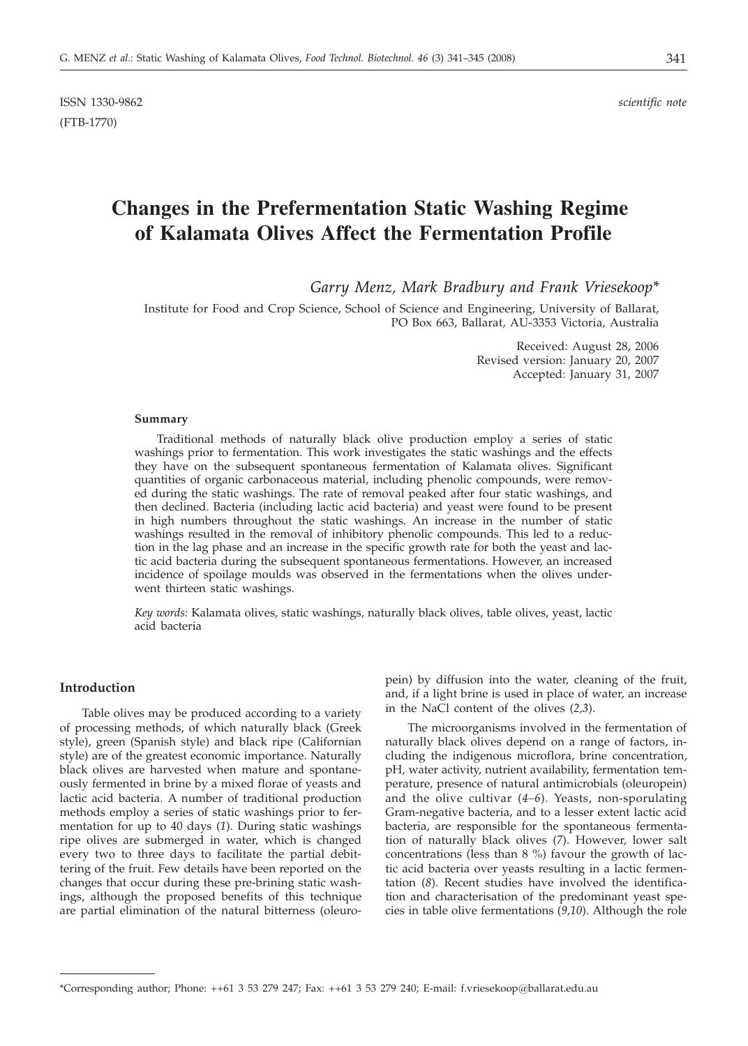# **Changes in the Prefermentation Static Washing Regime of Kalamata Olives Affect the Fermentation Profile**

*Garry Menz, Mark Bradbury and Frank Vriesekoop\**

Institute for Food and Crop Science, School of Science and Engineering, University of Ballarat, PO Box 663, Ballarat, AU-3353 Victoria, Australia

> Received: August 28, 2006 Revised version: January 20, 2007 Accepted: January 31, 2007

#### **Summary**

Traditional methods of naturally black olive production employ a series of static washings prior to fermentation. This work investigates the static washings and the effects they have on the subsequent spontaneous fermentation of Kalamata olives. Significant quantities of organic carbonaceous material, including phenolic compounds, were removed during the static washings. The rate of removal peaked after four static washings, and then declined. Bacteria (including lactic acid bacteria) and yeast were found to be present in high numbers throughout the static washings. An increase in the number of static washings resulted in the removal of inhibitory phenolic compounds. This led to a reduction in the lag phase and an increase in the specific growth rate for both the yeast and lactic acid bacteria during the subsequent spontaneous fermentations. However, an increased incidence of spoilage moulds was observed in the fermentations when the olives underwent thirteen static washings.

*Key words:* Kalamata olives, static washings, naturally black olives, table olives, yeast, lactic acid bacteria

## **Introduction**

Table olives may be produced according to a variety of processing methods, of which naturally black (Greek style), green (Spanish style) and black ripe (Californian style) are of the greatest economic importance. Naturally black olives are harvested when mature and spontaneously fermented in brine by a mixed florae of yeasts and lactic acid bacteria. A number of traditional production methods employ a series of static washings prior to fermentation for up to 40 days (*1*). During static washings ripe olives are submerged in water, which is changed every two to three days to facilitate the partial debittering of the fruit. Few details have been reported on the changes that occur during these pre-brining static washings, although the proposed benefits of this technique are partial elimination of the natural bitterness (oleuropein) by diffusion into the water, cleaning of the fruit, and, if a light brine is used in place of water, an increase in the NaCl content of the olives (*2,3*).

The microorganisms involved in the fermentation of naturally black olives depend on a range of factors, including the indigenous microflora, brine concentration, pH, water activity, nutrient availability, fermentation temperature, presence of natural antimicrobials (oleuropein) and the olive cultivar (*4–6*). Yeasts, non-sporulating Gram-negative bacteria, and to a lesser extent lactic acid bacteria, are responsible for the spontaneous fermentation of naturally black olives (*7*). However, lower salt concentrations (less than 8 %) favour the growth of lactic acid bacteria over yeasts resulting in a lactic fermentation (*8*). Recent studies have involved the identification and characterisation of the predominant yeast species in table olive fermentations (*9,10*). Although the role

<sup>\*</sup>Corresponding author; Phone: ++61 3 53 279 247; Fax: ++61 3 53 279 240; E-mail: f.vriesekoop@ballarat.edu.au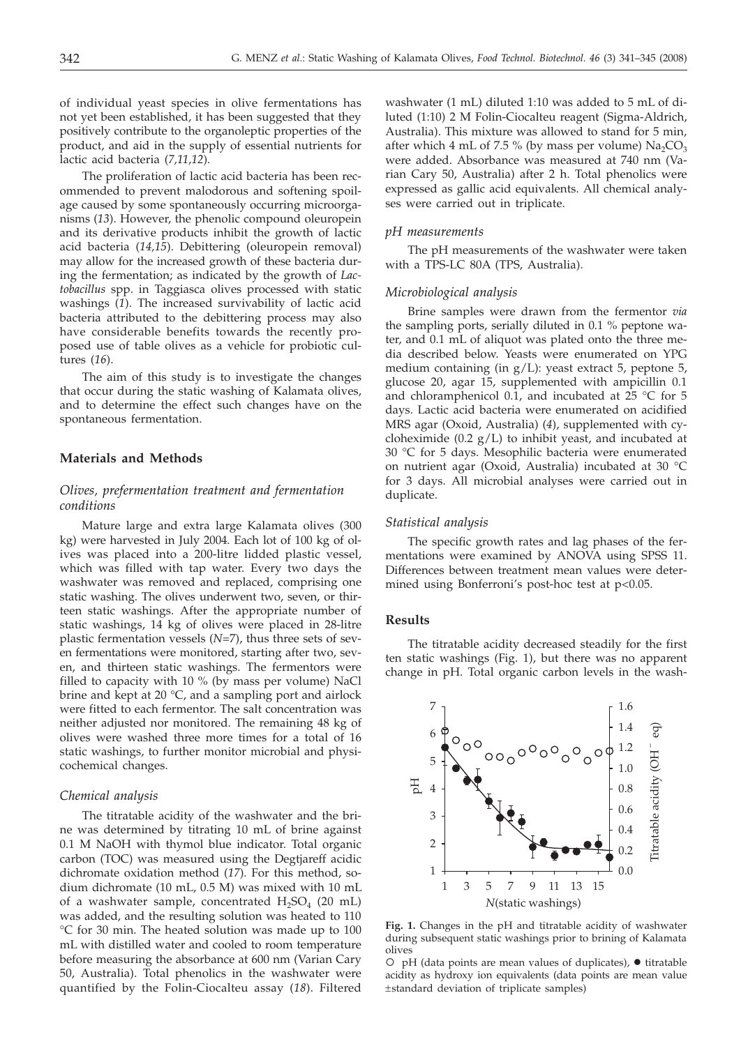of individual yeast species in olive fermentations has not yet been established, it has been suggested that they positively contribute to the organoleptic properties of the product, and aid in the supply of essential nutrients for lactic acid bacteria (*7,11,12*).

The proliferation of lactic acid bacteria has been recommended to prevent malodorous and softening spoilage caused by some spontaneously occurring microorganisms (*13*). However, the phenolic compound oleuropein and its derivative products inhibit the growth of lactic acid bacteria (*14,15*). Debittering (oleuropein removal) may allow for the increased growth of these bacteria during the fermentation; as indicated by the growth of *Lactobacillus* spp. in Taggiasca olives processed with static washings (*1*). The increased survivability of lactic acid bacteria attributed to the debittering process may also have considerable benefits towards the recently proposed use of table olives as a vehicle for probiotic cultures (*16*).

The aim of this study is to investigate the changes that occur during the static washing of Kalamata olives, and to determine the effect such changes have on the spontaneous fermentation.

## **Materials and Methods**

# *Olives, prefermentation treatment and fermentation conditions*

Mature large and extra large Kalamata olives (300 kg) were harvested in July 2004. Each lot of 100 kg of olives was placed into a 200-litre lidded plastic vessel, which was filled with tap water. Every two days the washwater was removed and replaced, comprising one static washing. The olives underwent two, seven, or thirteen static washings. After the appropriate number of static washings, 14 kg of olives were placed in 28-litre plastic fermentation vessels (*N*=7), thus three sets of seven fermentations were monitored, starting after two, seven, and thirteen static washings. The fermentors were filled to capacity with 10 % (by mass per volume) NaCl brine and kept at 20 °C, and a sampling port and airlock were fitted to each fermentor. The salt concentration was neither adjusted nor monitored. The remaining 48 kg of olives were washed three more times for a total of 16 static washings, to further monitor microbial and physicochemical changes.

#### *Chemical analysis*

The titratable acidity of the washwater and the brine was determined by titrating 10 mL of brine against 0.1 M NaOH with thymol blue indicator. Total organic carbon (TOC) was measured using the Degtjareff acidic dichromate oxidation method (*17*). For this method, sodium dichromate (10 mL, 0.5 M) was mixed with 10 mL of a washwater sample, concentrated  $H_2SO_4$  (20 mL) was added, and the resulting solution was heated to 110 °C for 30 min. The heated solution was made up to 100 mL with distilled water and cooled to room temperature before measuring the absorbance at 600 nm (Varian Cary 50, Australia). Total phenolics in the washwater were quantified by the Folin-Ciocalteu assay (*18*). Filtered

washwater (1 mL) diluted 1:10 was added to 5 mL of diluted (1:10) 2 M Folin-Ciocalteu reagent (Sigma-Aldrich, Australia). This mixture was allowed to stand for 5 min, after which 4 mL of 7.5 % (by mass per volume)  $Na<sub>2</sub>CO<sub>3</sub>$ were added. Absorbance was measured at 740 nm (Varian Cary 50, Australia) after 2 h. Total phenolics were expressed as gallic acid equivalents. All chemical analyses were carried out in triplicate.

#### *pH measurements*

The pH measurements of the washwater were taken with a TPS-LC 80A (TPS, Australia).

#### *Microbiological analysis*

Brine samples were drawn from the fermentor *via* the sampling ports, serially diluted in 0.1 % peptone water, and 0.1 mL of aliquot was plated onto the three media described below. Yeasts were enumerated on YPG medium containing (in g/L): yeast extract 5, peptone 5, glucose 20, agar 15, supplemented with ampicillin 0.1 and chloramphenicol 0.1, and incubated at 25 °C for 5 days. Lactic acid bacteria were enumerated on acidified MRS agar (Oxoid, Australia) (*4*), supplemented with cycloheximide (0.2  $g/L$ ) to inhibit yeast, and incubated at 30 °C for 5 days. Mesophilic bacteria were enumerated on nutrient agar (Oxoid, Australia) incubated at 30 °C for 3 days. All microbial analyses were carried out in duplicate.

#### *Statistical analysis*

The specific growth rates and lag phases of the fermentations were examined by ANOVA using SPSS 11. Differences between treatment mean values were determined using Bonferroni's post-hoc test at p<0.05.

#### **Results**

The titratable acidity decreased steadily for the first ten static washings (Fig. 1), but there was no apparent change in pH. Total organic carbon levels in the wash-



**Fig. 1.** Changes in the pH and titratable acidity of washwater during subsequent static washings prior to brining of Kalamata olives

 $O$  pH (data points are mean values of duplicates),  $\bullet$  titratable acidity as hydroxy ion equivalents (data points are mean value ±standard deviation of triplicate samples)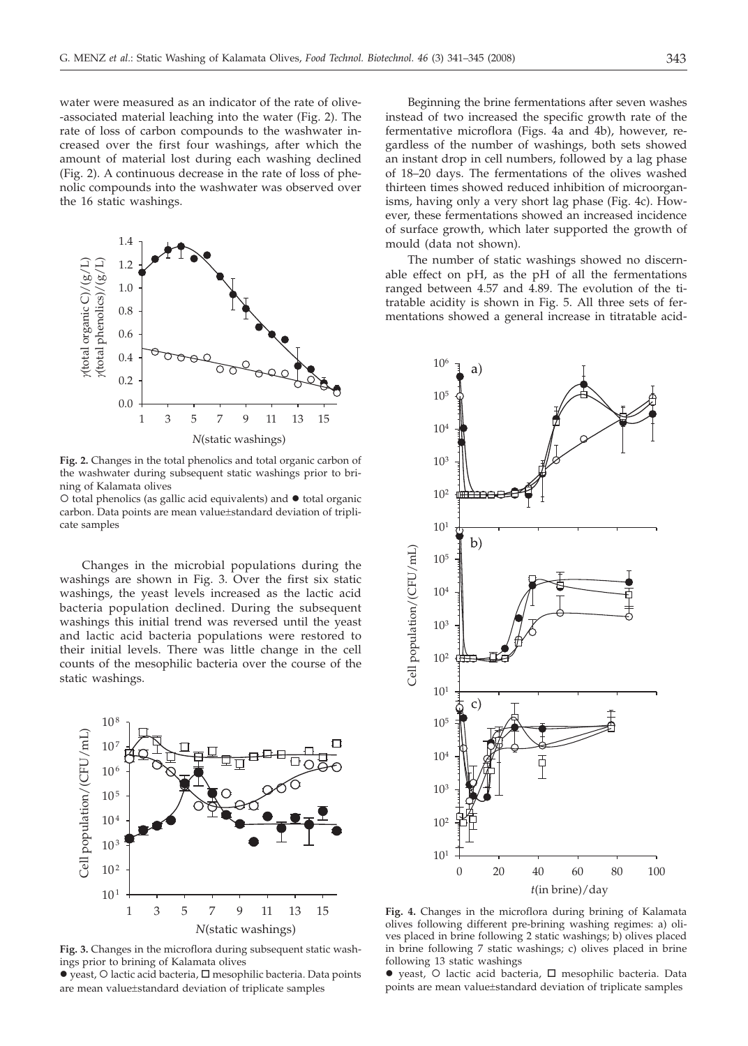water were measured as an indicator of the rate of olive- -associated material leaching into the water (Fig. 2). The rate of loss of carbon compounds to the washwater increased over the first four washings, after which the amount of material lost during each washing declined (Fig. 2). A continuous decrease in the rate of loss of phenolic compounds into the washwater was observed over the 16 static washings.



**Fig. 2.** Changes in the total phenolics and total organic carbon of the washwater during subsequent static washings prior to brining of Kalamata olives

 $\circ$  total phenolics (as gallic acid equivalents) and  $\bullet$  total organic carbon. Data points are mean value±standard deviation of triplicate samples

Changes in the microbial populations during the washings are shown in Fig. 3. Over the first six static washings, the yeast levels increased as the lactic acid bacteria population declined. During the subsequent washings this initial trend was reversed until the yeast and lactic acid bacteria populations were restored to their initial levels. There was little change in the cell counts of the mesophilic bacteria over the course of the static washings.



**Fig. 3.** Changes in the microflora during subsequent static washings prior to brining of Kalamata olives

 $\bullet$  yeast,  $\circ$  lactic acid bacteria,  $\Box$  mesophilic bacteria. Data points are mean value±standard deviation of triplicate samples

Beginning the brine fermentations after seven washes instead of two increased the specific growth rate of the fermentative microflora (Figs. 4a and 4b), however, regardless of the number of washings, both sets showed an instant drop in cell numbers, followed by a lag phase of 18–20 days. The fermentations of the olives washed thirteen times showed reduced inhibition of microorganisms, having only a very short lag phase (Fig. 4c). However, these fermentations showed an increased incidence of surface growth, which later supported the growth of mould (data not shown).

The number of static washings showed no discernable effect on pH, as the pH of all the fermentations ranged between 4.57 and 4.89. The evolution of the titratable acidity is shown in Fig. 5. All three sets of fermentations showed a general increase in titratable acid-



**Fig. 4.** Changes in the microflora during brining of Kalamata olives following different pre-brining washing regimes: a) olives placed in brine following 2 static washings; b) olives placed in brine following 7 static washings; c) olives placed in brine following 13 static washings

 $\bullet$  yeast,  $\circ$  lactic acid bacteria,  $\Box$  mesophilic bacteria. Data points are mean value±standard deviation of triplicate samples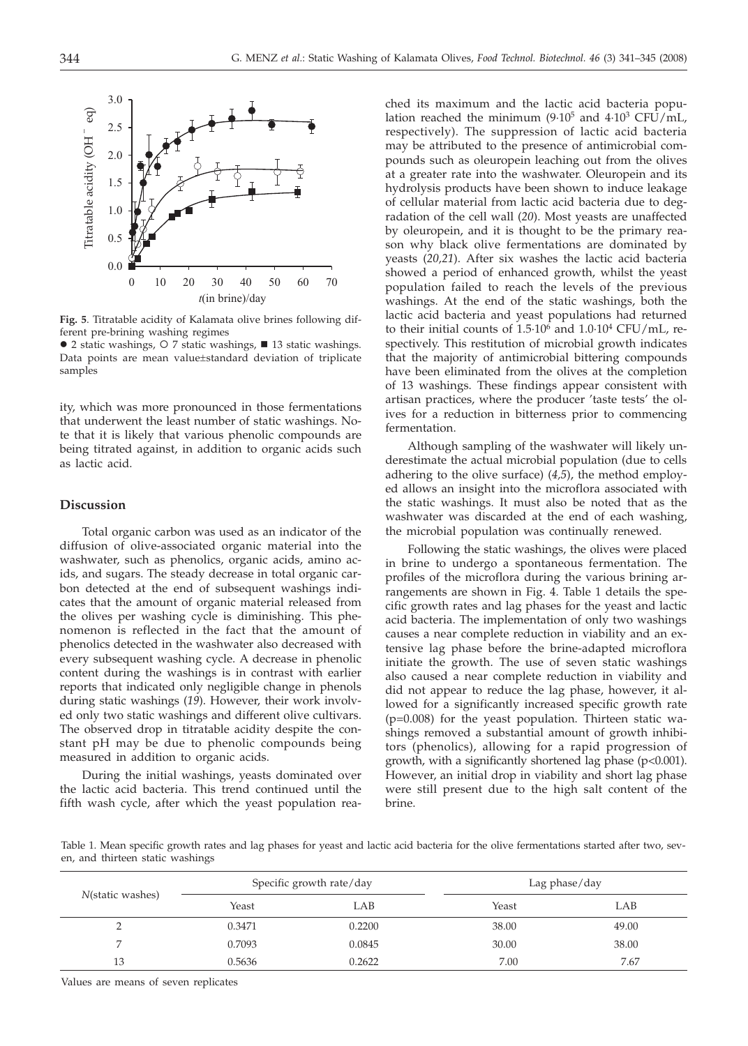

**Fig. 5**. Titratable acidity of Kalamata olive brines following different pre-brining washing regimes



ity, which was more pronounced in those fermentations that underwent the least number of static washings. Note that it is likely that various phenolic compounds are being titrated against, in addition to organic acids such as lactic acid.

### **Discussion**

Total organic carbon was used as an indicator of the diffusion of olive-associated organic material into the washwater, such as phenolics, organic acids, amino acids, and sugars. The steady decrease in total organic carbon detected at the end of subsequent washings indicates that the amount of organic material released from the olives per washing cycle is diminishing. This phenomenon is reflected in the fact that the amount of phenolics detected in the washwater also decreased with every subsequent washing cycle. A decrease in phenolic content during the washings is in contrast with earlier reports that indicated only negligible change in phenols during static washings (*19*). However, their work involved only two static washings and different olive cultivars. The observed drop in titratable acidity despite the constant pH may be due to phenolic compounds being measured in addition to organic acids.

During the initial washings, yeasts dominated over the lactic acid bacteria. This trend continued until the fifth wash cycle, after which the yeast population rea-

ched its maximum and the lactic acid bacteria population reached the minimum (9.10<sup>5</sup> and 4.10<sup>3</sup> CFU/mL, respectively). The suppression of lactic acid bacteria may be attributed to the presence of antimicrobial compounds such as oleuropein leaching out from the olives at a greater rate into the washwater. Oleuropein and its hydrolysis products have been shown to induce leakage of cellular material from lactic acid bacteria due to degradation of the cell wall (*20*). Most yeasts are unaffected by oleuropein, and it is thought to be the primary reason why black olive fermentations are dominated by yeasts (*20,21*). After six washes the lactic acid bacteria showed a period of enhanced growth, whilst the yeast population failed to reach the levels of the previous washings. At the end of the static washings, both the lactic acid bacteria and yeast populations had returned to their initial counts of  $1.5 \cdot 10^6$  and  $1.0 \cdot 10^4$  CFU/mL, respectively. This restitution of microbial growth indicates that the majority of antimicrobial bittering compounds have been eliminated from the olives at the completion of 13 washings. These findings appear consistent with artisan practices, where the producer 'taste tests' the olives for a reduction in bitterness prior to commencing fermentation.

Although sampling of the washwater will likely underestimate the actual microbial population (due to cells adhering to the olive surface) (*4,5*), the method employed allows an insight into the microflora associated with the static washings. It must also be noted that as the washwater was discarded at the end of each washing, the microbial population was continually renewed.

Following the static washings, the olives were placed in brine to undergo a spontaneous fermentation. The profiles of the microflora during the various brining arrangements are shown in Fig. 4. Table 1 details the specific growth rates and lag phases for the yeast and lactic acid bacteria. The implementation of only two washings causes a near complete reduction in viability and an extensive lag phase before the brine-adapted microflora initiate the growth. The use of seven static washings also caused a near complete reduction in viability and did not appear to reduce the lag phase, however, it allowed for a significantly increased specific growth rate (p=0.008) for the yeast population. Thirteen static washings removed a substantial amount of growth inhibitors (phenolics), allowing for a rapid progression of growth, with a significantly shortened lag phase (p<0.001). However, an initial drop in viability and short lag phase were still present due to the high salt content of the brine.

Table 1. Mean specific growth rates and lag phases for yeast and lactic acid bacteria for the olive fermentations started after two, seven, and thirteen static washings

| N(static washes) | Specific growth rate/day |        | Lag phase/day |       |
|------------------|--------------------------|--------|---------------|-------|
|                  | Yeast                    | LAB    | Yeast         | LAB   |
|                  | 0.3471                   | 0.2200 | 38.00         | 49.00 |
|                  | 0.7093                   | 0.0845 | 30.00         | 38.00 |
| 13               | 0.5636                   | 0.2622 | 7.00          | 7.67  |

Values are means of seven replicates